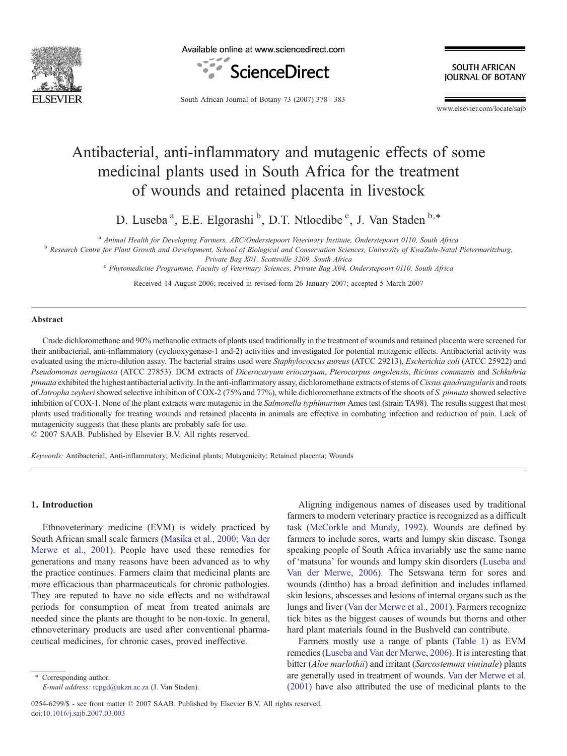

Available online at www.sciencedirect.com



**SOUTH AFRICAN IOURNAL OF BOTANY** 

South African Journal of Botany 73 (2007) 378–383

www.elsevier.com/locate/sajb

# Antibacterial, anti-inflammatory and mutagenic effects of some medicinal plants used in South Africa for the treatment of wounds and retained placenta in livestock

D. Luseba<sup>a</sup>, E.E. Elgorashi<sup>b</sup>, D.T. Ntloedibe<sup>c</sup>, J. Van Staden<sup>b,\*</sup>

<sup>a</sup> Animal Health for Developing Farmers, ARC/Onderstepoort Veterinary Institute, Onderstepoort 0110, South Africa<br><sup>b</sup> Research Centre for Plant Growth and Development, School of Biological and Conservation Sciences, Unive

Private Bag X01, Scottsville 3209, South Africa c Phytomedicine Programme, Faculty of Veterinary Sciences, Private Bag X04, Onderstepoort 0110, South Africa

Received 14 August 2006; received in revised form 26 January 2007; accepted 5 March 2007

## Abstract

Crude dichloromethane and 90% methanolic extracts of plants used traditionally in the treatment of wounds and retained placenta were screened for their antibacterial, anti-inflammatory (cyclooxygenase-1 and-2) activities and investigated for potential mutagenic effects. Antibacterial activity was evaluated using the micro-dilution assay. The bacterial strains used were Staphylococcus aureus (ATCC 29213), Escherichia coli (ATCC 25922) and Pseudomonas aeruginosa (ATCC 27853). DCM extracts of Dicerocaryum eriocarpum, Pterocarpus angolensis, Ricinus communis and Schkuhria pinnata exhibited the highest antibacterial activity. In the anti-inflammatory assay, dichloromethane extracts of stems of Cissus quadrangularis and roots of Jatropha zeyheri showed selective inhibition of COX-2 (75% and 77%), while dichloromethane extracts of the shoots of S. pinnata showed selective inhibition of COX-1. None of the plant extracts were mutagenic in the Salmonella typhimurium Ames test (strain TA98). The results suggest that most plants used traditionally for treating wounds and retained placenta in animals are effective in combating infection and reduction of pain. Lack of mutagenicity suggests that these plants are probably safe for use.

© 2007 SAAB. Published by Elsevier B.V. All rights reserved.

Keywords: Antibacterial; Anti-inflammatory; Medicinal plants; Mutagenicity; Retained placenta; Wounds

## 1. Introduction

Ethnoveterinary medicine (EVM) is widely practiced by South African small scale farmers [\(Masika et al., 2000; Van der](#page-5-0) [Merwe et al., 2001](#page-5-0)). People have used these remedies for generations and many reasons have been advanced as to why the practice continues. Farmers claim that medicinal plants are more efficacious than pharmaceuticals for chronic pathologies. They are reputed to have no side effects and no withdrawal periods for consumption of meat from treated animals are needed since the plants are thought to be non-toxic. In general, ethnoveterinary products are used after conventional pharmaceutical medicines, for chronic cases, proved ineffective.

⁎ Corresponding author. E-mail address: [rcpgd@ukzn.ac.za](mailto:rcpgd@ukzn.ac.za) (J. Van Staden).

0254-6299/\$ - see front matter © 2007 SAAB. Published by Elsevier B.V. All rights reserved. doi:[10.1016/j.sajb.2007.03.003](http://dx.doi.org/10.1016/j.sajb.2007.03.003)

Aligning indigenous names of diseases used by traditional farmers to modern veterinary practice is recognized as a difficult task [\(McCorkle and Mundy, 1992](#page-5-0)). Wounds are defined by farmers to include sores, warts and lumpy skin disease. Tsonga speaking people of South Africa invariably use the same name of 'matsuna' for wounds and lumpy skin disorders [\(Luseba and](#page-5-0) [Van der Merwe, 2006\)](#page-5-0). The Setswana term for sores and wounds (dintho) has a broad definition and includes inflamed skin lesions, abscesses and lesions of internal organs such as the lungs and liver ([Van der Merwe et al., 2001\)](#page-5-0). Farmers recognize tick bites as the biggest causes of wounds but thorns and other hard plant materials found in the Bushveld can contribute.

Farmers mostly use a range of plants ([Table 1\)](#page-1-0) as EVM remedies ([Luseba and Van der Merwe, 2006\)](#page-5-0). It is interesting that bitter (Aloe marlothii) and irritant (Sarcostemma viminale) plants are generally used in treatment of wounds. [Van der Merwe et al.](#page-5-0) [\(2001\)](#page-5-0) have also attributed the use of medicinal plants to the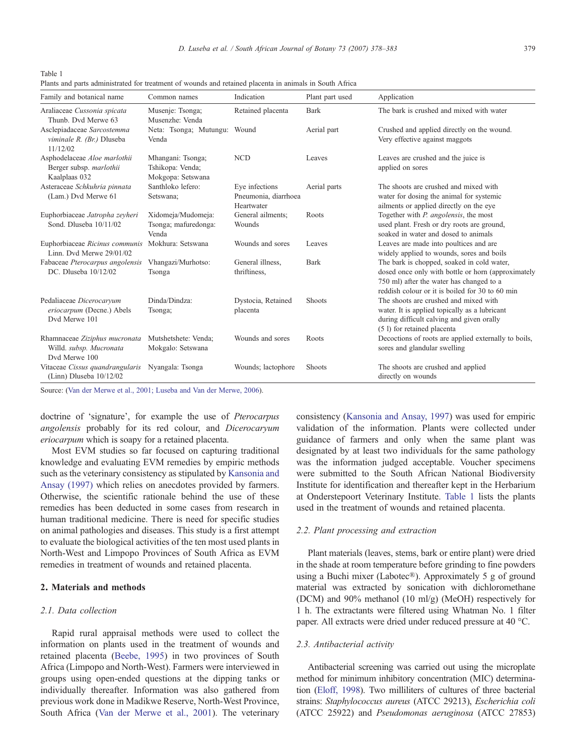<span id="page-1-0"></span>Table 1

Plants and parts administrated for treatment of wounds and retained placenta in animals in South Africa

| Family and botanical name                                                 | Common names                                               | Indication                                           | Plant part used | Application                                                                                                                                                                                     |
|---------------------------------------------------------------------------|------------------------------------------------------------|------------------------------------------------------|-----------------|-------------------------------------------------------------------------------------------------------------------------------------------------------------------------------------------------|
| Araliaceae Cussonia spicata<br>Thunb. Dvd Merwe 63                        | Musenje: Tsonga;<br>Musenzhe: Venda                        | Retained placenta                                    | <b>Bark</b>     | The bark is crushed and mixed with water                                                                                                                                                        |
| Asclepiadaceae Sarcostemma<br>viminale R. (Br.) Dluseba<br>11/12/02       | Neta: Tsonga; Mutungu: Wound<br>Venda                      |                                                      | Aerial part     | Crushed and applied directly on the wound.<br>Very effective against maggots                                                                                                                    |
| Asphodelaceae Aloe marlothii<br>Berger subsp. marlothii<br>Kaalplaas 032  | Mhangani: Tsonga;<br>Tshikopa: Venda;<br>Mokgopa: Setswana | <b>NCD</b>                                           | Leaves          | Leaves are crushed and the juice is<br>applied on sores                                                                                                                                         |
| Asteraceae Schkuhria pinnata<br>(Lam.) Dvd Merwe 61                       | Santhloko lefero:<br>Setswana;                             | Eye infections<br>Pneumonia, diarrhoea<br>Heartwater | Aerial parts    | The shoots are crushed and mixed with<br>water for dosing the animal for systemic<br>ailments or applied directly on the eye                                                                    |
| Euphorbiaceae Jatropha zeyheri<br>Sond. Dluseba 10/11/02                  | Xidomeja/Mudomeja:<br>Tsonga; mafuredonga:<br>Venda        | General ailments;<br>Wounds                          | Roots           | Together with <i>P. angolensis</i> , the most<br>used plant. Fresh or dry roots are ground,<br>soaked in water and dosed to animals                                                             |
| Euphorbiaceae Ricinus communis<br>Linn. Dvd Merwe 29/01/02                | Mokhura: Setswana                                          | Wounds and sores                                     | Leaves          | Leaves are made into poultices and are<br>widely applied to wounds, sores and boils                                                                                                             |
| Fabaceae Pterocarpus angolensis<br>DC. Dluseba 10/12/02                   | Vhangazi/Murhotso:<br>Tsonga                               | General illness.<br>thriftiness,                     | <b>Bark</b>     | The bark is chopped, soaked in cold water,<br>dosed once only with bottle or horn (approximately<br>750 ml) after the water has changed to a<br>reddish colour or it is boiled for 30 to 60 min |
| Pedaliaceae Dicerocarvum<br>eriocarpum (Decne.) Abels<br>Dvd Merwe 101    | Dinda/Dindza:<br>Tsonga;                                   | Dystocia, Retained<br>placenta                       | Shoots          | The shoots are crushed and mixed with<br>water. It is applied topically as a lubricant<br>during difficult calving and given orally<br>(5 l) for retained placenta                              |
| Rhamnaceae Ziziphus mucronata<br>Willd. subsp. Mucronata<br>Dvd Merwe 100 | Mutshetshete: Venda;<br>Mokgalo: Setswana                  | Wounds and sores                                     | Roots           | Decoctions of roots are applied externally to boils,<br>sores and glandular swelling                                                                                                            |
| Vitaceae Cissus quandrangularis<br>$(Linn)$ Dluseba $10/12/02$            | Nyangala: Tsonga                                           | Wounds; lactophore                                   | Shoots          | The shoots are crushed and applied<br>directly on wounds                                                                                                                                        |

Source: [\(Van der Merwe et al., 2001; Luseba and Van der Merwe, 2006](#page-5-0)).

doctrine of 'signature', for example the use of Pterocarpus angolensis probably for its red colour, and Dicerocaryum eriocarpum which is soapy for a retained placenta.

Most EVM studies so far focused on capturing traditional knowledge and evaluating EVM remedies by empiric methods such as the veterinary consistency as stipulated by [Kansonia and](#page-5-0) [Ansay \(1997\)](#page-5-0) which relies on anecdotes provided by farmers. Otherwise, the scientific rationale behind the use of these remedies has been deducted in some cases from research in human traditional medicine. There is need for specific studies on animal pathologies and diseases. This study is a first attempt to evaluate the biological activities of the ten most used plants in North-West and Limpopo Provinces of South Africa as EVM remedies in treatment of wounds and retained placenta.

# 2. Materials and methods

# 2.1. Data collection

Rapid rural appraisal methods were used to collect the information on plants used in the treatment of wounds and retained placenta [\(Beebe, 1995\)](#page-4-0) in two provinces of South Africa (Limpopo and North-West). Farmers were interviewed in groups using open-ended questions at the dipping tanks or individually thereafter. Information was also gathered from previous work done in Madikwe Reserve, North-West Province, South Africa ([Van der Merwe et al., 2001\)](#page-5-0). The veterinary consistency ([Kansonia and Ansay, 1997](#page-5-0)) was used for empiric validation of the information. Plants were collected under guidance of farmers and only when the same plant was designated by at least two individuals for the same pathology was the information judged acceptable. Voucher specimens were submitted to the South African National Biodiversity Institute for identification and thereafter kept in the Herbarium at Onderstepoort Veterinary Institute. Table 1 lists the plants used in the treatment of wounds and retained placenta.

## 2.2. Plant processing and extraction

Plant materials (leaves, stems, bark or entire plant) were dried in the shade at room temperature before grinding to fine powders using a Buchi mixer (Labotec®). Approximately 5 g of ground material was extracted by sonication with dichloromethane (DCM) and 90% methanol (10 ml/g) (MeOH) respectively for 1 h. The extractants were filtered using Whatman No. 1 filter paper. All extracts were dried under reduced pressure at 40 °C.

## 2.3. Antibacterial activity

Antibacterial screening was carried out using the microplate method for minimum inhibitory concentration (MIC) determination [\(Eloff, 1998](#page-4-0)). Two milliliters of cultures of three bacterial strains: Staphylococcus aureus (ATCC 29213), Escherichia coli (ATCC 25922) and Pseudomonas aeruginosa (ATCC 27853)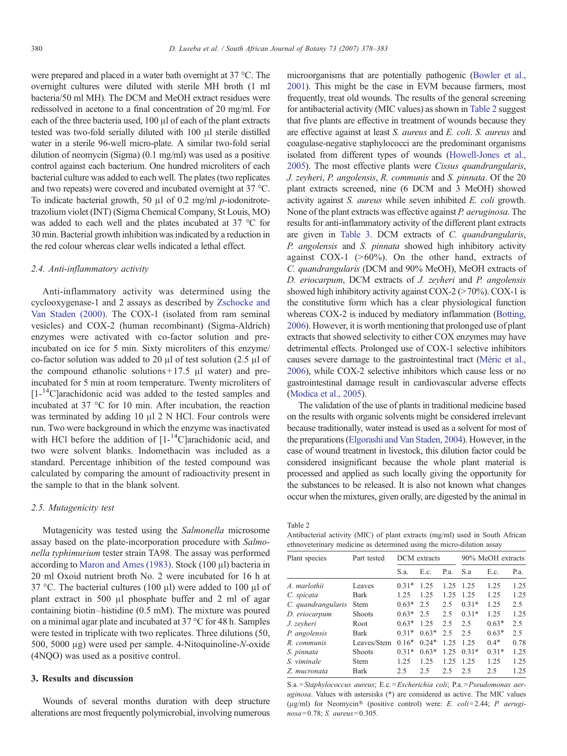were prepared and placed in a water bath overnight at 37 °C. The overnight cultures were diluted with sterile MH broth (1 ml bacteria/50 ml MH). The DCM and MeOH extract residues were redissolved in acetone to a final concentration of 20 mg/ml. For each of the three bacteria used, 100 μl of each of the plant extracts tested was two-fold serially diluted with 100 μl sterile distilled water in a sterile 96-well micro-plate. A similar two-fold serial dilution of neomycin (Sigma) (0.1 mg/ml) was used as a positive control against each bacterium. One hundred microliters of each bacterial culture was added to each well. The plates (two replicates and two repeats) were covered and incubated overnight at 37 °C. To indicate bacterial growth, 50 μl of 0.2 mg/ml p-iodonitrotetrazolium violet (INT) (Sigma Chemical Company, St Louis, MO) was added to each well and the plates incubated at 37 °C for 30 min. Bacterial growth inhibition was indicated by a reduction in the red colour whereas clear wells indicated a lethal effect.

#### 2.4. Anti-inflammatory activity

Anti-inflammatory activity was determined using the cyclooxygenase-1 and 2 assays as described by [Zschocke and](#page-5-0) [Van Staden \(2000\).](#page-5-0) The COX-1 (isolated from ram seminal vesicles) and COX-2 (human recombinant) (Sigma-Aldrich) enzymes were activated with co-factor solution and preincubated on ice for 5 min. Sixty microliters of this enzyme/ co-factor solution was added to 20 μl of test solution (2.5 μl of the compound ethanolic solutions + 17.5  $\mu$ l water) and preincubated for 5 min at room temperature. Twenty microliters of  $[1 - {^{14}C}]$ arachidonic acid was added to the tested samples and incubated at 37 °C for 10 min. After incubation, the reaction was terminated by adding 10 μl 2 N HCl. Four controls were run. Two were background in which the enzyme was inactivated with HCl before the addition of  $[1 - {}^{14}C]$ arachidonic acid, and two were solvent blanks. Indomethacin was included as a standard. Percentage inhibition of the tested compound was calculated by comparing the amount of radioactivity present in the sample to that in the blank solvent.

#### 2.5. Mutagenicity test

Mutagenicity was tested using the Salmonella microsome assay based on the plate-incorporation procedure with Salmonella typhimurium tester strain TA98. The assay was performed according to [Maron and Ames \(1983\).](#page-5-0) Stock (100 μl) bacteria in 20 ml Oxoid nutrient broth No. 2 were incubated for 16 h at 37 °C. The bacterial cultures (100 μl) were added to 100 μl of plant extract in 500 μl phosphate buffer and 2 ml of agar containing biotin–histidine (0.5 mM). The mixture was poured on a minimal agar plate and incubated at 37 °C for 48 h. Samples were tested in triplicate with two replicates. Three dilutions (50, 500, 5000 μg) were used per sample. 4-Nitoquinoline-N-oxide (4NQO) was used as a positive control.

## 3. Results and discussion

Wounds of several months duration with deep structure alterations are most frequently polymicrobial, involving numerous microorganisms that are potentially pathogenic [\(Bowler et al.,](#page-4-0) [2001](#page-4-0)). This might be the case in EVM because farmers, most frequently, treat old wounds. The results of the general screening for antibacterial activity (MIC values) as shown in Table 2 suggest that five plants are effective in treatment of wounds because they are effective against at least S. aureus and E. coli. S. aureus and coagulase-negative staphylococci are the predominant organisms isolated from different types of wounds [\(Howell-Jones et al.,](#page-4-0) [2005](#page-4-0)). The most effective plants were Cissus quandrangularis, J. zeyheri, P. angolensis, R. communis and S. pinnata. Of the 20 plant extracts screened, nine (6 DCM and 3 MeOH) showed activity against S. aureus while seven inhibited E. coli growth. None of the plant extracts was effective against P. aeruginosa. The results for anti-inflammatory activity of the different plant extracts are given in [Table 3.](#page-3-0) DCM extracts of C. quandrangularis, P. angolensis and S. pinnata showed high inhibitory activity against COX-1  $(>60\%)$ . On the other hand, extracts of C. quandrangularis (DCM and 90% MeOH), MeOH extracts of D. eriocarpum, DCM extracts of J. zeyheri and P. angolensis showed high inhibitory activity against  $COX-2$  ( $>70\%$ ). COX-1 is the constitutive form which has a clear physiological function whereas COX-2 is induced by mediatory inflammation ([Botting,](#page-4-0) [2006](#page-4-0)). However, it is worth mentioning that prolonged use of plant extracts that showed selectivity to either COX enzymes may have detrimental effects. Prolonged use of COX-1 selective inhibitors causes severe damage to the gastrointestinal tract [\(Méric et al.,](#page-5-0) [2006](#page-5-0)), while COX-2 selective inhibitors which cause less or no gastrointestinal damage result in cardiovascular adverse effects ([Modica et al., 2005\)](#page-5-0).

The validation of the use of plants in traditional medicine based on the results with organic solvents might be considered irrelevant because traditionally, water instead is used as a solvent for most of the preparations [\(Elgorashi and Van Staden, 2004\)](#page-4-0). However, in the case of wound treatment in livestock, this dilution factor could be considered insignificant because the whole plant material is processed and applied as such locally giving the opportunity for the substances to be released. It is also not known what changes occur when the mixtures, given orally, are digested by the animal in

Table 2

Antibacterial activity (MIC) of plant extracts (mg/ml) used in South African ethnoveterinary medicine as determined using the micro-dilution assay

| Plant species      | Part tested   | DCM extracts |         |      | 90% MeOH extracts |         |               |
|--------------------|---------------|--------------|---------|------|-------------------|---------|---------------|
|                    |               | S.a.         | E.c.    | P.a. | S.a               | E.c.    | P.a.          |
| A. marlothii       | Leaves        | $0.31*$      | 1.25    | 1.25 | 1.25              | 1.25    | 1.25          |
| C. spicata         | Bark          | 1.25         | 1.25    | 1.25 | 1.25              | 1.25    | 1.25          |
| C. quandrangularis | <b>Stem</b>   | $0.63*$      | 2.5     | 2.5  | $0.31*$           | 1.25    | 2.5           |
| D. eriocarpum      | <b>Shoots</b> | $0.63*$      | 2.5     | 2.5  | $0.31*$           | 1.25    | 1.25          |
| J. zeyheri         | Root          | $0.63*$      | 1.25    | 2.5  | 2.5               | $0.63*$ | $2.5^{\circ}$ |
| P. angolensis      | Bark          | $0.31*$      | $0.63*$ | 2.5  | 2.5               | $0.63*$ | $2.5^{\circ}$ |
| R. communis        | Leaves/Stem   | $0.16*$      | $0.24*$ | 1.25 | 1 25              | $0.4*$  | 0.78          |
| S. pinnata         | <b>Shoots</b> | $0.31*$      | $0.63*$ | 1.25 | $0.31*$           | $0.31*$ | 1.25          |
| S. viminale        | <b>Stem</b>   | 1.25         | 1.25    | 1.25 | 1.25              | 1.25    | 1.25          |
| Z. mucronata       | Bark          | 2.5          | 2.5     | 2.5  | 2.5               | 2.5     | 1.25          |

S.a.=Staphylococcus aureus; E.c. =Escherichia coli; P.a. =Pseudomonas aer $u\text{g}inosa$ . Values with astersisks  $(*)$  are considered as active. The MIC values (μg/ml) for Neomycin® (positive control) were: E. coli=2.44; P. aeruginosa= 0.78; S. aureus= 0.305.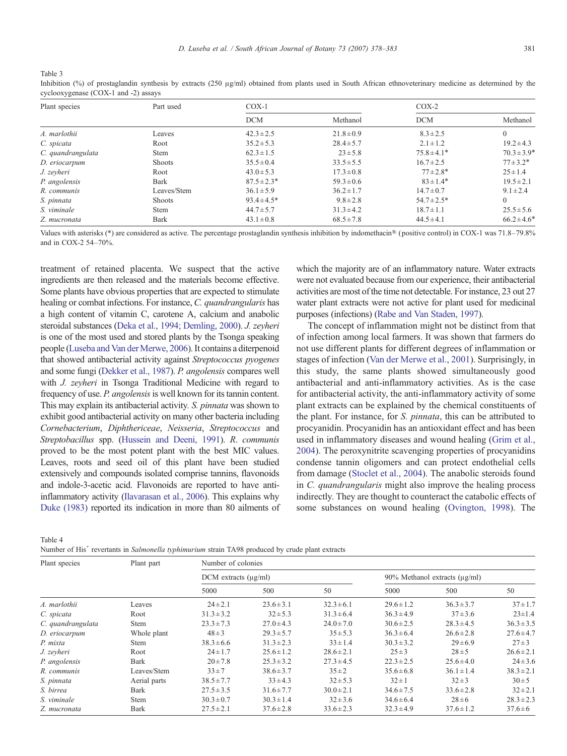<span id="page-3-0"></span>Table 3

| Inhibition (%) of prostaglandin synthesis by extracts (250 $\mu$ g/ml) obtained from plants used in South African ethnoveterinary medicine as determined by the |  |  |  |
|-----------------------------------------------------------------------------------------------------------------------------------------------------------------|--|--|--|
| cyclooxygenase (COX-1 and -2) assays                                                                                                                            |  |  |  |

| Plant species     | Part used     | $COX-1$          |                | $COX-2$          |                 |  |
|-------------------|---------------|------------------|----------------|------------------|-----------------|--|
|                   |               | <b>DCM</b>       | Methanol       | <b>DCM</b>       | Methanol        |  |
| A. marlothii      | Leaves        | $42.3 \pm 2.5$   | $21.8 \pm 0.9$ | $8.3 \pm 2.5$    | $\Omega$        |  |
| C. spicata        | Root          | $35.2 \pm 5.3$   | $28.4 \pm 5.7$ | $2.1 \pm 1.2$    | $19.2 \pm 4.3$  |  |
| C. quandrangulata | <b>Stem</b>   | $62.3 \pm 1.5$   | $23 \pm 5.8$   | $75.8 \pm 4.1*$  | $70.3 \pm 3.9*$ |  |
| D. eriocarpum     | <b>Shoots</b> | $35.5 \pm 0.4$   | $33.5 \pm 5.5$ | $16.7 \pm 2.5$   | $77 \pm 3.2*$   |  |
| J. zeyheri        | Root          | $43.0 \pm 5.3$   | $17.3 \pm 0.8$ | $77 \pm 2.8*$    | $25 \pm 1.4$    |  |
| P. angolensis     | <b>Bark</b>   | $87.5 \pm 2.3*$  | $59.3 \pm 0.6$ | $83 \pm 1.4*$    | $19.5 \pm 2.1$  |  |
| R. communis       | Leaves/Stem   | $36.1 \pm 5.9$   | $36.2 \pm 1.7$ | $14.7 \pm 0.7$   | $9.1 \pm 2.4$   |  |
| S. pinnata        | <b>Shoots</b> | $93.4 \pm 4.5^*$ | $9.8 \pm 2.8$  | $54.7 \pm 2.5^*$ | $\Omega$        |  |
| S. viminale       | <b>Stem</b>   | $44.7 \pm 5.7$   | $31.3 \pm 4.2$ | $18.7 \pm 1.1$   | $25.5 \pm 5.6$  |  |
| Z. mucronata      | Bark          | $43.1 \pm 0.8$   | $68.5 \pm 7.8$ | $44.5 \pm 4.1$   | $66.2 \pm 4.6*$ |  |

Values with asterisks (\*) are considered as active. The percentage prostaglandin synthesis inhibition by indomethacin® (positive control) in COX-1 was 71.8–79.8% and in COX-2 54–70%.

treatment of retained placenta. We suspect that the active ingredients are then released and the materials become effective. Some plants have obvious properties that are expected to stimulate healing or combat infections. For instance, C. quandrangularis has a high content of vitamin C, carotene A, calcium and anabolic steroidal substances [\(Deka et al., 1994; Demling, 2000\)](#page-4-0). J. zeyheri is one of the most used and stored plants by the Tsonga speaking people [\(Luseba and Van der Merwe, 2006](#page-5-0)). It contains a diterpenoid that showed antibacterial activity against Streptococcus pyogenes and some fungi ([Dekker et al., 1987\)](#page-4-0). P. angolensis compares well with *J. zeyheri* in Tsonga Traditional Medicine with regard to frequency of use. P. angolensis is well known for its tannin content. This may explain its antibacterial activity. S. *pinnata* was shown to exhibit good antibacterial activity on many other bacteria including Cornebacterium, Diphthericeae, Neisseria, Streptococcus and Streptobacillus spp. ([Hussein and Deeni, 1991](#page-4-0)). R. communis proved to be the most potent plant with the best MIC values. Leaves, roots and seed oil of this plant have been studied extensively and compounds isolated comprise tannins, flavonoids and indole-3-acetic acid. Flavonoids are reported to have antiinflammatory activity ([Ilavarasan et al., 2006\)](#page-5-0). This explains why [Duke \(1983\)](#page-4-0) reported its indication in more than 80 ailments of which the majority are of an inflammatory nature. Water extracts were not evaluated because from our experience, their antibacterial activities are most of the time not detectable. For instance, 23 out 27 water plant extracts were not active for plant used for medicinal purposes (infections) ([Rabe and Van Staden, 1997\)](#page-5-0).

The concept of inflammation might not be distinct from that of infection among local farmers. It was shown that farmers do not use different plants for different degrees of inflammation or stages of infection [\(Van der Merwe et al., 2001](#page-5-0)). Surprisingly, in this study, the same plants showed simultaneously good antibacterial and anti-inflammatory activities. As is the case for antibacterial activity, the anti-inflammatory activity of some plant extracts can be explained by the chemical constituents of the plant. For instance, for S. pinnata, this can be attributed to procyanidin. Procyanidin has an antioxidant effect and has been used in inflammatory diseases and wound healing ([Grim et al.,](#page-4-0) [2004](#page-4-0)). The peroxynitrite scavenging properties of procyanidins condense tannin oligomers and can protect endothelial cells from damage ([Stoclet et al., 2004\)](#page-5-0). The anabolic steroids found in C. quandrangularis might also improve the healing process indirectly. They are thought to counteract the catabolic effects of some substances on wound healing ([Ovington, 1998](#page-5-0)). The

Table 4 Number of His<sup>+</sup> revertants in *Salmonella typhimurium* strain TA98 produced by crude plant extracts

| Plant species     | Plant part   | Number of colonies           |                |                |                                    |                |                |  |
|-------------------|--------------|------------------------------|----------------|----------------|------------------------------------|----------------|----------------|--|
|                   |              | $DCM$ extracts ( $\mu$ g/ml) |                |                | 90% Methanol extracts $(\mu g/ml)$ |                |                |  |
|                   |              | 5000                         | 500            | 50             | 5000                               | 500            | 50             |  |
| A. marlothii      | Leaves       | $24 \pm 2.1$                 | $23.6 \pm 3.1$ | $32.3 \pm 6.1$ | $29.6 \pm 1.2$                     | $36.3 \pm 3.7$ | $37 \pm 1.7$   |  |
| C. spicata        | Root         | $31.3 \pm 3.2$               | $32 \pm 5.3$   | $31.3 \pm 6.4$ | $36.3 \pm 4.9$                     | $37 \pm 3.6$   | $23 \pm 1.4$   |  |
| C. quandrangulata | Stem         | $23.3 \pm 7.3$               | $27.0 \pm 4.3$ | $24.0 \pm 7.0$ | $30.6 \pm 2.5$                     | $28.3 \pm 4.5$ | $36.3 \pm 3.5$ |  |
| D. eriocarpum     | Whole plant  | $48 \pm 3$                   | $29.3 \pm 5.7$ | $35 \pm 5.3$   | $36.3 \pm 6.4$                     | $26.6 \pm 2.8$ | $27.6 \pm 4.7$ |  |
| P. mixta          | Stem         | $38.3 \pm 6.6$               | $31.3 \pm 2.3$ | $33 \pm 1.4$   | $30.3 \pm 3.2$                     | $29 \pm 6.9$   | $27 \pm 3$     |  |
| J. zeyheri        | Root         | $24 \pm 1.7$                 | $25.6 \pm 1.2$ | $28.6 \pm 2.1$ | $25 \pm 3$                         | $28 \pm 5$     | $26.6 \pm 2.1$ |  |
| P. angolensis     | <b>Bark</b>  | $20 \pm 7.8$                 | $25.3 \pm 3.2$ | $27.3 \pm 4.5$ | $22.3 \pm 2.5$                     | $25.6 \pm 4.0$ | $24 \pm 3.6$   |  |
| R. communis       | Leaves/Stem  | $33 \pm 7$                   | $38.6 \pm 3.7$ | $35 \pm 2$     | $35.6 \pm 6.8$                     | $36.1 \pm 1.4$ | $38.3 \pm 2.1$ |  |
| S. pinnata        | Aerial parts | $38.5 \pm 7.7$               | $33 \pm 4.3$   | $32 \pm 5.3$   | $32 \pm 1$                         | $32 \pm 3$     | $30 \pm 5$     |  |
| S. birrea         | <b>Bark</b>  | $27.5 \pm 3.5$               | $31.6 \pm 7.7$ | $30.0 \pm 2.1$ | $34.6 \pm 7.5$                     | $33.6 \pm 2.8$ | $32 \pm 2.1$   |  |
| S. viminale       | <b>Stem</b>  | $30.3 \pm 0.7$               | $30.3 \pm 1.4$ | $32 \pm 3.6$   | $34.6 \pm 6.4$                     | $28 \pm 6$     | $28.3 \pm 2.3$ |  |
| Z. mucronata      | <b>Bark</b>  | $27.5 \pm 2.1$               | $37.6 \pm 2.8$ | $33.6 \pm 2.3$ | $32.3 \pm 4.9$                     | $37.6 \pm 1.2$ | $37.6 \pm 6$   |  |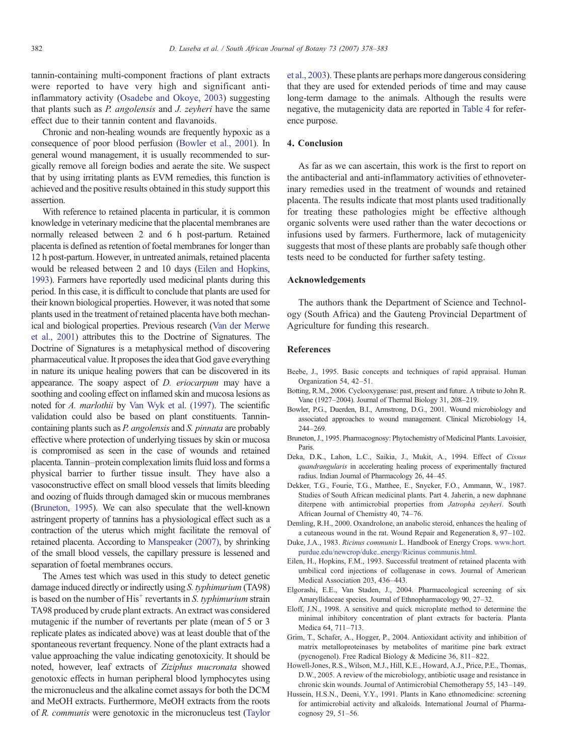<span id="page-4-0"></span>tannin-containing multi-component fractions of plant extracts were reported to have very high and significant antiinflammatory activity [\(Osadebe and Okoye, 2003\)](#page-5-0) suggesting that plants such as P. angolensis and J. zeyheri have the same effect due to their tannin content and flavanoids.

Chronic and non-healing wounds are frequently hypoxic as a consequence of poor blood perfusion (Bowler et al., 2001). In general wound management, it is usually recommended to surgically remove all foreign bodies and aerate the site. We suspect that by using irritating plants as EVM remedies, this function is achieved and the positive results obtained in this study support this assertion.

With reference to retained placenta in particular, it is common knowledge in veterinary medicine that the placental membranes are normally released between 2 and 6 h post-partum. Retained placenta is defined as retention of foetal membranes for longer than 12 h post-partum. However, in untreated animals, retained placenta would be released between 2 and 10 days (Eilen and Hopkins, 1993). Farmers have reportedly used medicinal plants during this period. In this case, it is difficult to conclude that plants are used for their known biological properties. However, it was noted that some plants used in the treatment of retained placenta have both mechanical and biological properties. Previous research [\(Van der Merwe](#page-5-0) [et al., 2001](#page-5-0)) attributes this to the Doctrine of Signatures. The Doctrine of Signatures is a metaphysical method of discovering pharmaceutical value. It proposes the idea that God gave everything in nature its unique healing powers that can be discovered in its appearance. The soapy aspect of D. eriocarpum may have a soothing and cooling effect on inflamed skin and mucosa lesions as noted for A. marlothii by [Van Wyk et al. \(1997\).](#page-5-0) The scientific validation could also be based on plant constituents. Tannincontaining plants such as P. angolensis and S. pinnata are probably effective where protection of underlying tissues by skin or mucosa is compromised as seen in the case of wounds and retained placenta. Tannin–protein complexation limits fluid loss and forms a physical barrier to further tissue insult. They have also a vasoconstructive effect on small blood vessels that limits bleeding and oozing of fluids through damaged skin or mucous membranes (Bruneton, 1995). We can also speculate that the well-known astringent property of tannins has a physiological effect such as a contraction of the uterus which might facilitate the removal of retained placenta. According to [Manspeaker \(2007\)](#page-5-0), by shrinking of the small blood vessels, the capillary pressure is lessened and separation of foetal membranes occurs.

The Ames test which was used in this study to detect genetic damage induced directly or indirectly using S. typhimurium (TA98) is based on the number of  $His<sup>+</sup>$  revertants in S. typhimurium strain TA98 produced by crude plant extracts. An extract was considered mutagenic if the number of revertants per plate (mean of 5 or 3 replicate plates as indicated above) was at least double that of the spontaneous revertant frequency. None of the plant extracts had a value approaching the value indicating genotoxicity. It should be noted, however, leaf extracts of Ziziphus mucronata showed genotoxic effects in human peripheral blood lymphocytes using the micronucleus and the alkaline comet assays for both the DCM and MeOH extracts. Furthermore, MeOH extracts from the roots of R. communis were genotoxic in the micronucleus test ([Taylor](#page-5-0) [et al., 2003](#page-5-0)). These plants are perhaps more dangerous considering that they are used for extended periods of time and may cause long-term damage to the animals. Although the results were negative, the mutagenicity data are reported in [Table 4](#page-3-0) for reference purpose.

# 4. Conclusion

As far as we can ascertain, this work is the first to report on the antibacterial and anti-inflammatory activities of ethnoveterinary remedies used in the treatment of wounds and retained placenta. The results indicate that most plants used traditionally for treating these pathologies might be effective although organic solvents were used rather than the water decoctions or infusions used by farmers. Furthermore, lack of mutagenicity suggests that most of these plants are probably safe though other tests need to be conducted for further safety testing.

## Acknowledgements

The authors thank the Department of Science and Technology (South Africa) and the Gauteng Provincial Department of Agriculture for funding this research.

## References

- Beebe, J., 1995. Basic concepts and techniques of rapid appraisal. Human Organization 54, 42–51.
- Botting, R.M., 2006. Cyclooxygenase: past, present and future. A tribute to John R. Vane (1927–2004). Journal of Thermal Biology 31, 208–219.
- Bowler, P.G., Duerden, B.I., Armstrong, D.G., 2001. Wound microbiology and associated approaches to wound management. Clinical Microbiology 14, 244–269.
- Bruneton, J., 1995. Pharmacognosy: Phytochemistry of Medicinal Plants. Lavoisier, Paris.
- Deka, D.K., Lahon, L.C., Saikia, J., Mukit, A., 1994. Effect of Cissus quandrangularis in accelerating healing process of experimentally fractured radius. Indian Journal of Pharmacology 26, 44–45.
- Dekker, T.G., Fourie, T.G., Matthee, E., Snycker, F.O., Ammann, W., 1987. Studies of South African medicinal plants. Part 4. Jaherin, a new daphnane diterpene with antimicrobial properties from Jatropha zeyheri. South African Journal of Chemistry 40, 74–76.
- Demling, R.H., 2000. Oxandrolone, an anabolic steroid, enhances the healing of a cutaneous wound in the rat. Wound Repair and Regeneration 8, 97–102.
- Duke, J.A., 1983. Ricinus communis L. Handbook of Energy Crops. [www.hort.](http://www.hort.purdue.edu/newcrop/duke_energy/Ricinus%20communis.html) [purdue.edu/newcrop/duke\\_energy/Ricinus communis.html](http://www.hort.purdue.edu/newcrop/duke_energy/Ricinus%20communis.html).
- Eilen, H., Hopkins, F.M., 1993. Successful treatment of retained placenta with umbilical cord injections of collagenase in cows. Journal of American Medical Association 203, 436–443.
- Elgorashi, E.E., Van Staden, J., 2004. Pharmacological screening of six Amaryllidaceae species. Journal of Ethnopharmacology 90, 27–32.
- Eloff, J.N., 1998. A sensitive and quick microplate method to determine the minimal inhibitory concentration of plant extracts for bacteria. Planta Medica 64, 711–713.
- Grim, T., Schafer, A., Hogger, P., 2004. Antioxidant activity and inhibition of matrix metalloproteinases by metabolites of maritime pine bark extract (pycnogenol). Free Radical Biology & Medicine 36, 811–822.
- Howell-Jones, R.S., Wilson, M.J., Hill, K.E., Howard, A.J., Price, P.E., Thomas, D.W., 2005. A review of the microbiology, antibiotic usage and resistance in chronic skin wounds. Journal of Antimicrobial Chemotherapy 55, 143–149.
- Hussein, H.S.N., Deeni, Y.Y., 1991. Plants in Kano ethnomedicine: screening for antimicrobial activity and alkaloids. International Journal of Pharmacognosy 29, 51–56.